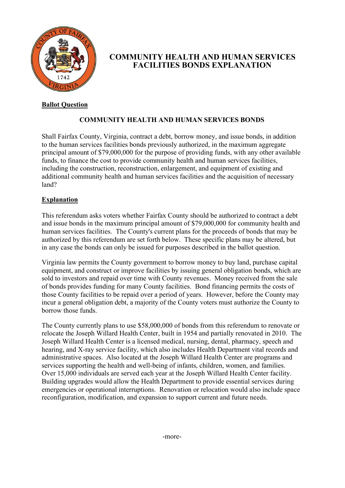

## **COMMUNITY HEALTH AND HUMAN SERVICES FACILITIES BONDS EXPLANATION**

## **Ballot Question**

## **COMMUNITY HEALTH AND HUMAN SERVICES BONDS**

Shall Fairfax County, Virginia, contract a debt, borrow money, and issue bonds, in addition to the human services facilities bonds previously authorized, in the maximum aggregate principal amount of \$79,000,000 for the purpose of providing funds, with any other available funds, to finance the cost to provide community health and human services facilities, including the construction, reconstruction, enlargement, and equipment of existing and additional community health and human services facilities and the acquisition of necessary land?

## **Explanation**

This referendum asks voters whether Fairfax County should be authorized to contract a debt and issue bonds in the maximum principal amount of \$79,000,000 for community health and human services facilities. The County's current plans for the proceeds of bonds that may be authorized by this referendum are set forth below. These specific plans may be altered, but in any case the bonds can only be issued for purposes described in the ballot question.

Virginia law permits the County government to borrow money to buy land, purchase capital equipment, and construct or improve facilities by issuing general obligation bonds, which are sold to investors and repaid over time with County revenues. Money received from the sale of bonds provides funding for many County facilities. Bond financing permits the costs of those County facilities to be repaid over a period of years. However, before the County may incur a general obligation debt, a majority of the County voters must authorize the County to borrow those funds.

The County currently plans to use \$58,000,000 of bonds from this referendum to renovate or relocate the Joseph Willard Health Center, built in 1954 and partially renovated in 2010. The Joseph Willard Health Center is a licensed medical, nursing, dental, pharmacy, speech and hearing, and X-ray service facility, which also includes Health Department vital records and administrative spaces. Also located at the Joseph Willard Health Center are programs and services supporting the health and well-being of infants, children, women, and families. Over 15,000 individuals are served each year at the Joseph Willard Health Center facility. Building upgrades would allow the Health Department to provide essential services during emergencies or operational interruptions. Renovation or relocation would also include space reconfiguration, modification, and expansion to support current and future needs.